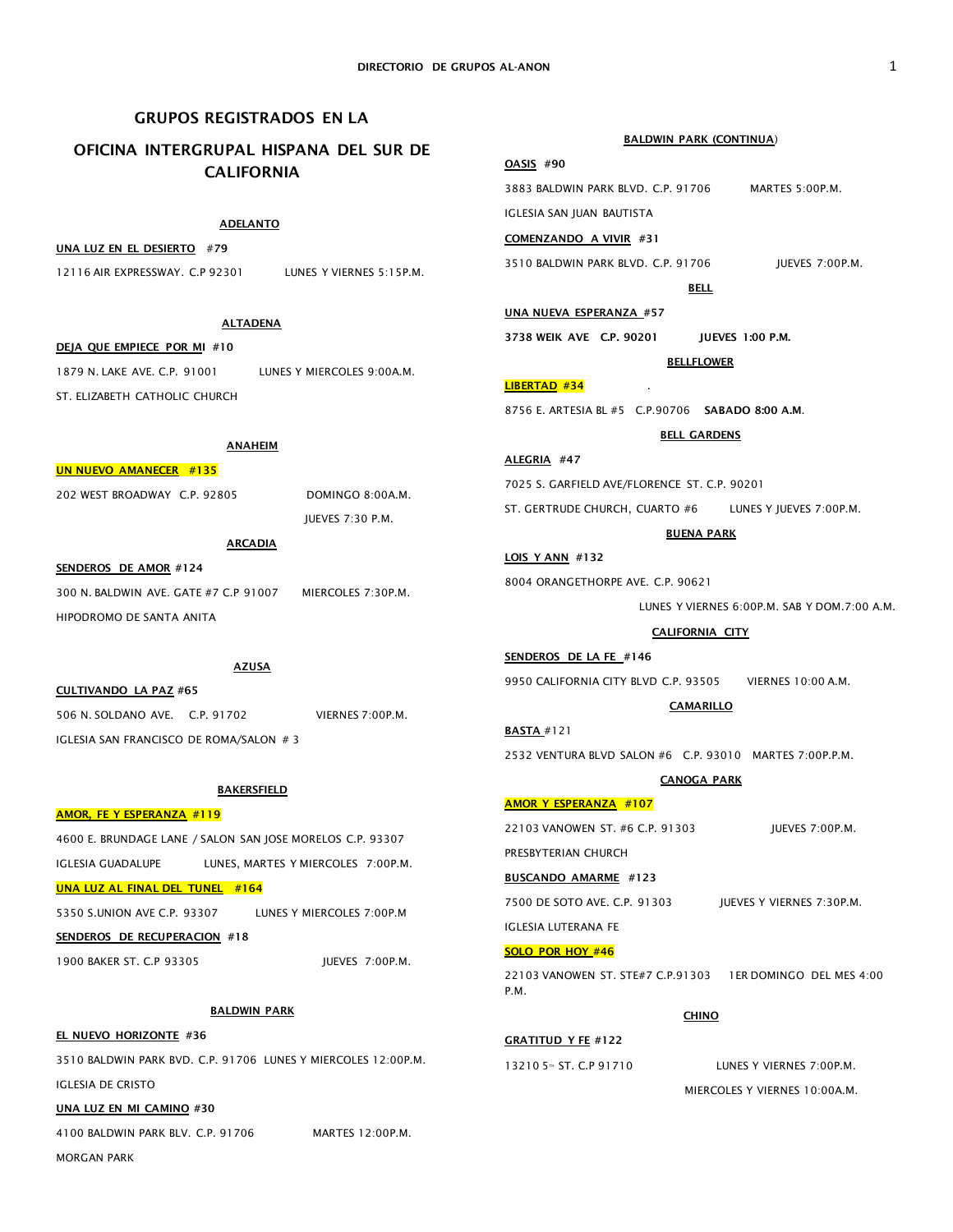# GRUPOS REGISTRADOS EN LA

# OFICINA INTERGRUPAL HISPANA DEL SUR DE CALIFORNIA

# ADELANTO

# UNA LUZ EN EL DESIERTO #79

12116 AIR EXPRESSWAY. C.P 92301 LUNES Y VIERNES 5:15P.M.

### **ALTADENA**

DEJA QUE EMPIECE POR MI #10 1879 N. LAKE AVE. C.P. 91001 LUNES Y MIERCOLES 9:00A.M. ST. ELIZARETH CATHOLIC CHURCH

# ANAHEIM

### UN NUEVO AMANECER #135

202 WEST BROADWAY C.P. 92805 DOMINGO 8:00A.M.

JUEVES 7:30 P.M.

# ARCADIA SENDEROS DE AMOR #124

300 N. BALDWIN AVE. GATE #7 C.P 91007 MIERCOLES 7:30P.M. HIPODROMO DE SANTA ANITA

# AZUSA

CULTIVANDO LA PAZ #65 506 N. SOLDANO AVE. C.P. 91702 VIERNES 7:00P.M. IGLESIA SAN FRANCISCO DE ROMA/SALON # 3

### **BAKERSFIELD**

# AMOR, FE Y ESPERANZA #119

4600 E. BRUNDAGE LANE / SALON SAN JOSE MORELOS C.P. 93307 IGLESIA GUADALUPE LUNES, MARTES Y MIERCOLES 7:00P.M. UNA LUZ AL FINAL DEL TUNEL #164

5350 S.UNION AVE C.P. 93307 LUNES Y MIERCOLES 7:00P.M

# SENDEROS DE RECUPERACION #18

1900 BAKER ST. C.P 93305 JUEVES 7:00P.M.

BALDWIN PARK

EL NUEVO HORIZONTE #36 3510 BALDWIN PARK BVD. C.P. 91706 LUNES Y MIERCOLES 12:00P.M. IGLESIA DE CRISTO

UNA LUZ EN MI CAMINO #30

4100 BALDWIN PARK BLV. C.P. 91706 MARTES 12:00P.M.

MORGAN PARK

### BALDWIN PARK (CONTINUA)

# OASIS #90

3883 BALDWIN PARK BLVD. C.P. 91706 MARTES 5:00P.M. IGLESIA SAN JUAN BAUTISTA

COMENZANDO A VIVIR #31

3510 BALDWIN PARK BLVD. C.P. 91706 JUEVES 7:00P.M.

BELL

UNA NUEVA ESPERANZA #57

3738 WEIK AVE C.P. 90201 JUEVES 1:00 P.M.

## **BELLFLOWER**

LIBERTAD #34

8756 E. ARTESIA BL #5 C.P.90706 SABADO 8:00 A.M.

## BELL GARDENS

ALEGRIA #47 7025 S. GARFIELD AVE/FLORENCE ST. C.P. 90201 ST. GERTRUDE CHURCH, CUARTO #6 LUNES Y JUEVES 7:00P.M.

### BUENA PARK

8004 ORANGETHORPE AVE. C.P. 90621

LOIS Y ANN #132

LUNES Y VIERNES 6:00P.M. SAB Y DOM.7:00 A.M.

### CALIFORNIA CITY

9950 CALIFORNIA CITY BLVD C.P. 93505 VIERNES 10:00 A.M.

### **CAMARILLO**

BASTA #121 2532 VENTURA BLVD SALON #6 C.P. 93010 MARTES 7:00P.P.M.

### CANOGA PARK

### AMOR Y ESPERANZA #107

SENDEROS DE LA FE #146

22103 VANOWEN ST. #6 C.P. 91303 JUEVES 7:00P.M.

PRESBYTERIAN CHURCH

### BUSCANDO AMARME #123

7500 DE SOTO AVE. C.P. 91303 JUEVES Y VIERNES 7:30P.M.

#### IGLESIA LUTERANA FE

### SOLO POR HOY #46

22103 VANOWEN ST. STE#7 C.P.91303 1ER DOMINGO DEL MES 4:00 P.M.

### **CHINO**

# GRATITUD Y FE #122

 $132105 \times ST$  C P 91710 LUNES Y VIERNES 7:00P.M.

MIERCOLES Y VIERNES 10:00A.M.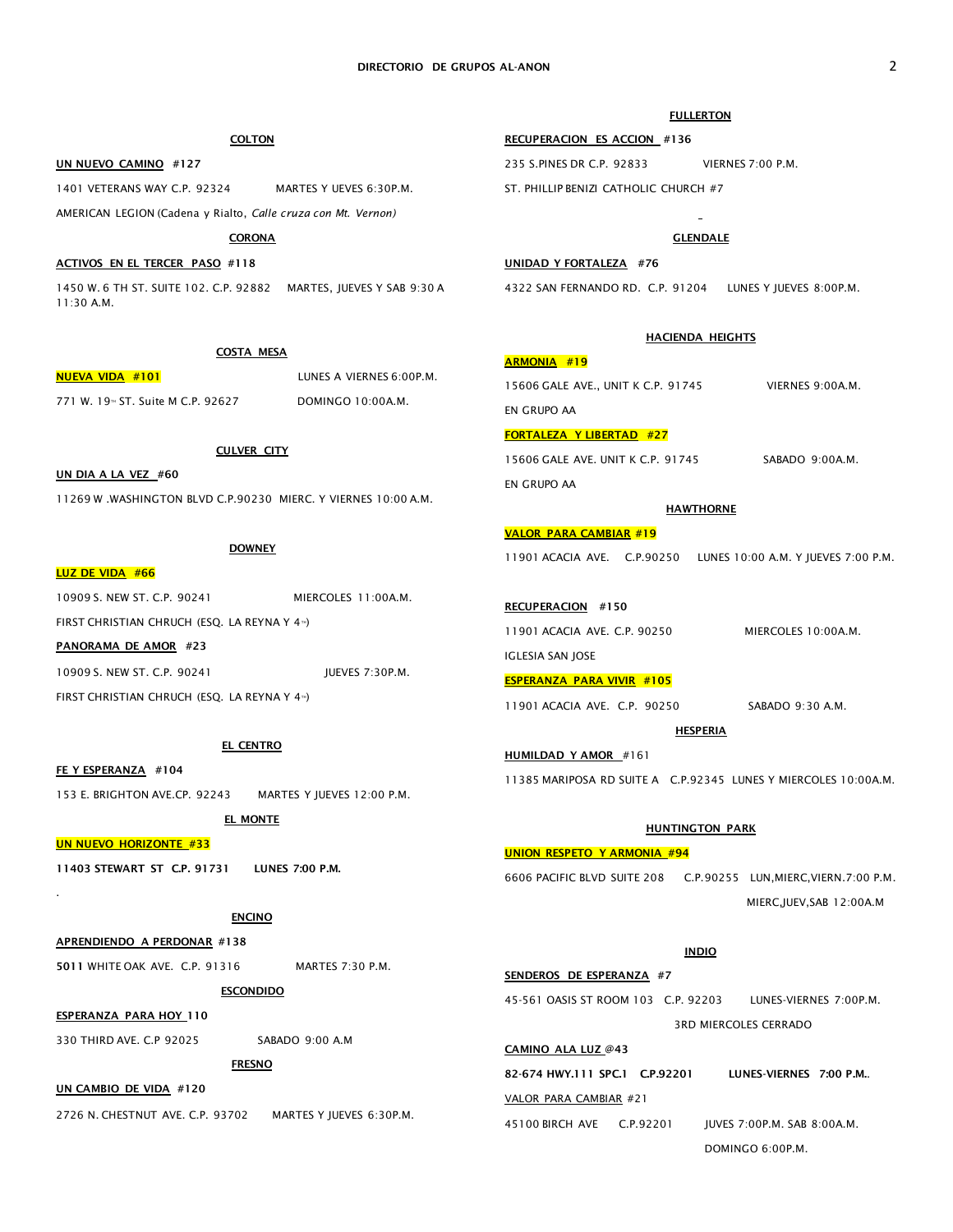### FULLERTON

1401 VETERANS WAY C.P. 92324 MARTES Y UEVES 6:30P.M. RECUPERACION ES ACCION #136 235 S.PINES DR C.P. 92833 VIERNES 7:00 P.M. ST. PHILLIP BENIZI CATHOLIC CHURCH #7

A.M. Y JUEVES 7:00 P.M.

Y MIERCOLES 10:00A.M.

# UNION RESPETO Y ARMONIA #94 I, MIERC, VIERN. 7:00 P.M.

MIERC,JUEV,SAB 12:00A.M

DOMINGO 6:00P.M.

|                                                            | <b>INDIO</b> |                              |  |
|------------------------------------------------------------|--------------|------------------------------|--|
| SENDEROS DE ESPERANZA #7                                   |              |                              |  |
| 45-561 OASIS ST ROOM 103 C.P. 92203 LUNES-VIERNES 7:00P.M. |              |                              |  |
|                                                            |              | <b>3RD MIERCOLES CERRADO</b> |  |
| CAMINO ALA LUZ @43                                         |              |                              |  |
| 82-674 HWY.111 SPC.1 C.P.92201                             |              | LUNES-VIERNES 7:00 P.M.      |  |
| VALOR PARA CAMBIAR #21                                     |              |                              |  |
| 45100 BIRCH AVE C.P.92201                                  |              | IUVES 7:00P.M. SAB 8:00A.M.  |  |

| AMERICAN LEGION (Cadena y Rialto, Calle cruza con Mt. Vernon)  |                                                                    |                                                             |                        |  |
|----------------------------------------------------------------|--------------------------------------------------------------------|-------------------------------------------------------------|------------------------|--|
| <b>CORONA</b>                                                  |                                                                    |                                                             | <b>GLENDALE</b>        |  |
| ACTIVOS EN EL TERCER PASO #118                                 |                                                                    | UNIDAD Y FORTALEZA #76                                      |                        |  |
| $11:30$ A.M.                                                   | 1450 W. 6 TH ST. SUITE 102. C.P. 92882 MARTES, JUEVES Y SAB 9:30 A | 4322 SAN FERNANDO RD. C.P. 91204 LUNES Y JUEVES 8:00P.M.    |                        |  |
|                                                                | <b>COSTA MESA</b>                                                  | <b>HACIENDA HEIGHTS</b>                                     |                        |  |
| <b>NUEVA VIDA #101</b>                                         | LUNES A VIERNES 6:00P.M.                                           | <b>ARMONIA #19</b>                                          |                        |  |
| 771 W. 19 <sup>™</sup> ST. Suite M C.P. 92627                  | DOMINGO 10:00A.M.                                                  | 15606 GALE AVE., UNIT K C.P. 91745 VIERNES 9:00A.M.         |                        |  |
|                                                                |                                                                    | EN GRUPO AA                                                 |                        |  |
|                                                                |                                                                    | <b>FORTALEZA Y LIBERTAD #27</b>                             |                        |  |
| <b>CULVER CITY</b><br>UN DIA A LA VEZ #60                      |                                                                    | 15606 GALE AVE. UNIT K C.P. 91745                           | SABADO 9:00A.M.        |  |
| 11269 W .WASHINGTON BLVD C.P.90230 MIERC. Y VIERNES 10:00 A.M. |                                                                    | EN GRUPO AA                                                 |                        |  |
|                                                                |                                                                    | <b>HAWTHORNE</b>                                            |                        |  |
|                                                                |                                                                    | <b>VALOR PARA CAMBIAR #19</b>                               |                        |  |
| <b>DOWNEY</b><br><b>LUZ DE VIDA #66</b>                        |                                                                    | 11901 ACACIA AVE. C.P.90250 LUNES 10:00 A.M. Y JUEVES 7:0   |                        |  |
| 10909 S. NEW ST. C.P. 90241                                    | MIERCOLES 11:00A.M.                                                |                                                             |                        |  |
| FIRST CHRISTIAN CHRUCH (ESQ. LA REYNA Y 4 <sup>11</sup> )      |                                                                    | <b>RECUPERACION #150</b>                                    |                        |  |
| PANORAMA DE AMOR #23                                           |                                                                    | 11901 ACACIA AVE. C.P. 90250                                | MIERCOLES 10:00A.M.    |  |
| 10909 S. NEW ST. C.P. 90241                                    | JUEVES 7:30P.M.                                                    | IGLESIA SAN JOSE                                            |                        |  |
|                                                                |                                                                    | <b>ESPERANZA PARA VIVIR #105</b>                            |                        |  |
| FIRST CHRISTIAN CHRUCH (ESQ. LA REYNA Y 4 <sup>74</sup> )      |                                                                    | 11901 ACACIA AVE. C.P. 90250                                | SABADO 9:30 A.M.       |  |
|                                                                | <b>EL CENTRO</b>                                                   | <b>HESPERIA</b>                                             |                        |  |
| <b>FE Y ESPERANZA</b> #104                                     |                                                                    | <b>HUMILDAD Y AMOR</b> #161                                 |                        |  |
| 153 E. BRIGHTON AVE.CP. 92243 MARTES Y JUEVES 12:00 P.M.       |                                                                    | 11385 MARIPOSA RD SUITE A C.P.92345 LUNES Y MIERCOLES 10:0  |                        |  |
|                                                                | EL MONTE                                                           |                                                             |                        |  |
| <b>UN NUEVO HORIZONTE #33</b>                                  |                                                                    | <b>HUNTINGTON PARK</b>                                      |                        |  |
| 11403 STEWART ST C.P. 91731                                    | LUNES 7:00 P.M.                                                    | <b>UNION RESPETO Y ARMONIA #94</b>                          |                        |  |
|                                                                |                                                                    | 6606 PACIFIC BLVD SUITE 208 C.P.90255 LUN, MIERC, VIERN.7:0 |                        |  |
|                                                                | <b>ENCINO</b>                                                      |                                                             | MIERC, JUEV, SAB 12:00 |  |
| APRENDIENDO A PERDONAR #138                                    |                                                                    |                                                             |                        |  |
| 5011 WHITE OAK AVE. C.P. 91316                                 | MARTES 7:30 P.M.                                                   | <b>INDIO</b>                                                |                        |  |
| <b>ESCONDIDO</b>                                               |                                                                    | SENDEROS DE ESPERANZA #7                                    |                        |  |
| <b>ESPERANZA PARA HOY 110</b>                                  |                                                                    | 45-561 OASIS ST ROOM 103 C.P. 92203                         | LUNES-VIERNES 7:00F    |  |
| 330 THIRD AVE. C.P 92025                                       | SABADO 9:00 A.M                                                    |                                                             | 3RD MIERCOLES CERRADO  |  |
|                                                                |                                                                    | CAMINO ALA LUZ @43                                          |                        |  |

FRESNO

**COLTON** 

UN NUEVO CAMINO #127

UN CAMBIO DE VIDA #120

2726 N. CHESTNUT AVE. C.P. 93702 MARTES Y JUEVES 6:30P.M.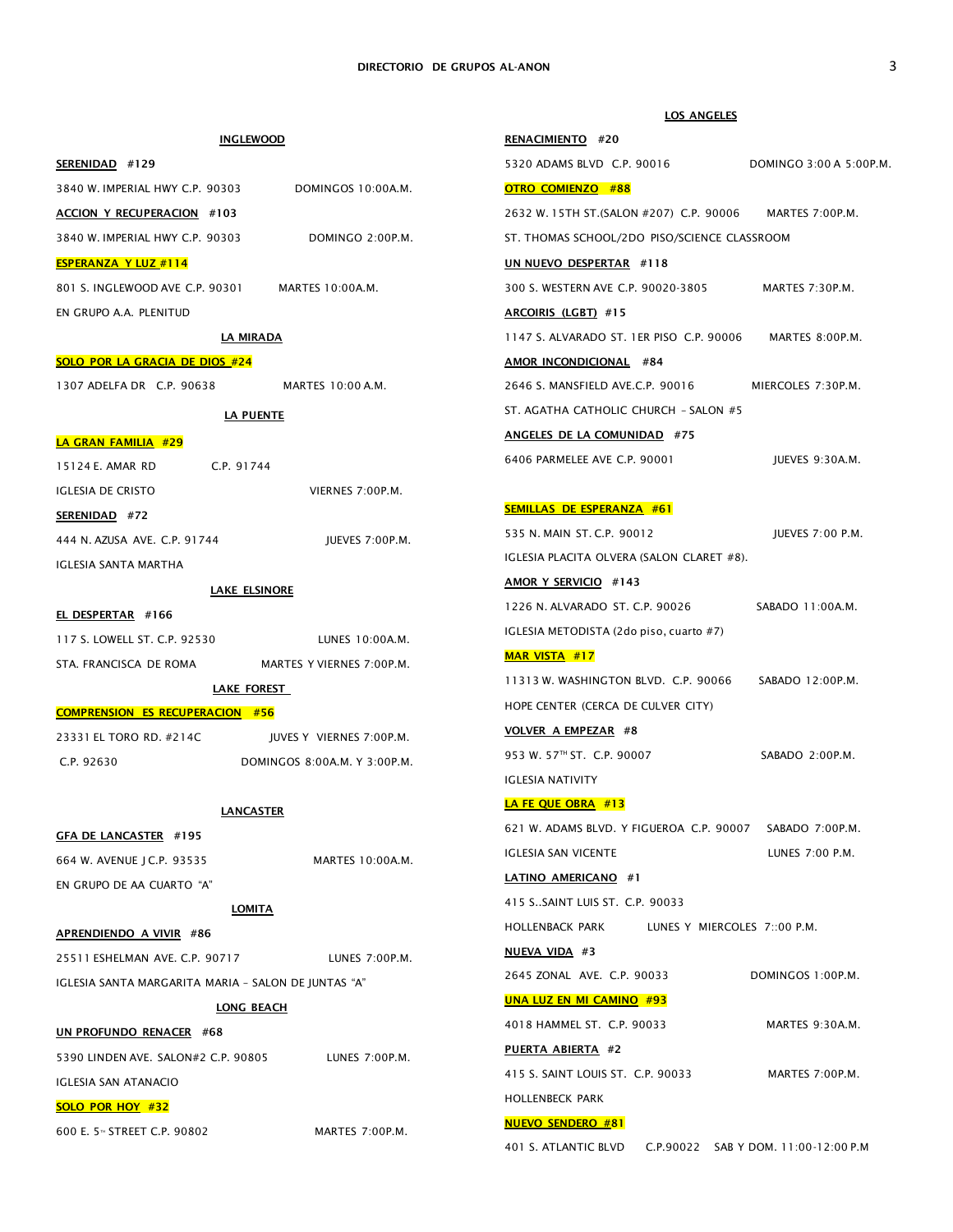LOS ANGELES

401 S. ATLANTIC BLVD C.P.90022 SAB Y DOM. 11:00-12:00 P.M

|                                                     | <b>INGLEWOOD</b>                                 | RENACIMIENTO #20                                       |                         |
|-----------------------------------------------------|--------------------------------------------------|--------------------------------------------------------|-------------------------|
| SERENIDAD #129                                      |                                                  | 5320 ADAMS BLVD C.P. 90016                             | DOMINGO 3:00 A 5:00P.M. |
| 3840 W. IMPERIAL HWY C.P. 90303                     | DOMINGOS 10:00A.M.                               | <b>OTRO COMIENZO #88</b>                               |                         |
| <b>ACCION Y RECUPERACION #103</b>                   |                                                  | 2632 W. 15TH ST.(SALON #207) C.P. 90006                | MARTES 7:00P.M.         |
| 3840 W. IMPERIAL HWY C.P. 90303                     | DOMINGO 2:00P.M.                                 | ST. THOMAS SCHOOL/2DO PISO/SCIENCE CLASSROOM           |                         |
| <b>ESPERANZA Y LUZ #114</b>                         |                                                  | UN NUEVO DESPERTAR #118                                |                         |
| 801 S. INGLEWOOD AVE C.P. 90301                     | MARTES 10:00A.M.                                 | 300 S. WESTERN AVE C.P. 90020-3805                     | MARTES 7:30P.M.         |
| EN GRUPO A.A. PLENITUD                              |                                                  | ARCOIRIS (LGBT) #15                                    |                         |
|                                                     | <u>LA MIRADA</u>                                 | 1147 S. ALVARADO ST. 1ER PISO C.P. 90006               | MARTES 8:00P.M.         |
| <b>SOLO POR LA GRACIA DE DIOS #24</b>               |                                                  | AMOR INCONDICIONAL #84                                 |                         |
| 1307 ADELFA DR C.P. 90638                           | MARTES 10:00 A.M.                                | 2646 S. MANSFIELD AVE.C.P. 90016                       | MIERCOLES 7:30P.M.      |
|                                                     | LA PUENTE                                        | ST. AGATHA CATHOLIC CHURCH - SALON #5                  |                         |
| <b>LA GRAN FAMILIA #29</b>                          |                                                  | ANGELES DE LA COMUNIDAD #75                            |                         |
| 15124 E. AMAR RD                                    | C.P. 91744                                       | 6406 PARMELEE AVE C.P. 90001                           | JUEVES 9:30A.M.         |
| <b>IGLESIA DE CRISTO</b>                            | VIERNES 7:00P.M.                                 |                                                        |                         |
| SERENIDAD #72                                       |                                                  | <b>SEMILLAS DE ESPERANZA #61</b>                       |                         |
| 444 N. AZUSA AVE. C.P. 91744                        | IUEVES 7:00P.M.                                  | 535 N. MAIN ST. C.P. 90012                             | JUEVES 7:00 P.M.        |
| <b>IGLESIA SANTA MARTHA</b>                         |                                                  | IGLESIA PLACITA OLVERA (SALON CLARET #8).              |                         |
|                                                     | <b>LAKE ELSINORE</b>                             | AMOR Y SERVICIO #143                                   |                         |
| EL DESPERTAR #166                                   |                                                  | 1226 N. ALVARADO ST. C.P. 90026                        | SABADO 11:00A.M.        |
| 117 S. LOWELL ST. C.P. 92530                        | LUNES 10:00A.M.                                  | IGLESIA METODISTA (2do piso, cuarto #7)                |                         |
|                                                     | STA. FRANCISCA DE ROMA MARTES Y VIERNES 7:00P.M. | <b>MAR VISTA #17</b>                                   |                         |
|                                                     | LAKE FOREST                                      | 11313 W. WASHINGTON BLVD. C.P. 90066                   | SABADO 12:00P.M.        |
| <b>COMPRENSION ES RECUPERACION #56</b>              |                                                  | HOPE CENTER (CERCA DE CULVER CITY)                     |                         |
| 23331 EL TORO RD. #214C                             | JUVES Y VIERNES 7:00P.M.                         | <b>VOLVER A EMPEZAR #8</b>                             |                         |
| C.P. 92630                                          | DOMINGOS 8:00A.M. Y 3:00P.M.                     | 953 W. 57 <sup>TH</sup> ST. C.P. 90007                 | SABADO 2:00P.M.         |
|                                                     |                                                  | <b>IGLESIA NATIVITY</b>                                |                         |
|                                                     | <b>LANCASTER</b>                                 | LA FE QUE OBRA #13                                     |                         |
| GFA DE LANCASTER #195                               |                                                  | 621 W. ADAMS BLVD. Y FIGUEROA C.P. 90007               | SABADO 7:00P.M.         |
| 664 W. AVENUE J C.P. 93535                          | MARTES 10:00A.M.                                 | IGLESIA SAN VICENTE                                    | LUNES 7:00 P.M.         |
| EN GRUPO DE AA CUARTO "A"                           |                                                  | LATINO AMERICANO #1                                    |                         |
| LOMITA                                              |                                                  | 415 SSAINT LUIS ST. C.P. 90033                         |                         |
| APRENDIENDO A VIVIR #86                             |                                                  | <b>HOLLENBACK PARK</b><br>LUNES Y MIERCOLES 7::00 P.M. |                         |
| 25511 ESHELMAN AVE. C.P. 90717                      | LUNES 7:00P.M.                                   | NUEVA VIDA #3                                          |                         |
| IGLESIA SANTA MARGARITA MARIA - SALON DE JUNTAS "A" |                                                  | 2645 ZONAL AVE. C.P. 90033                             | DOMINGOS 1:00P.M.       |
|                                                     | LONG BEACH                                       | <b>UNA LUZ EN MI CAMINO #93</b>                        |                         |
| UN PROFUNDO RENACER #68                             |                                                  | 4018 HAMMEL ST. C.P. 90033                             | MARTES 9:30A.M.         |
| 5390 LINDEN AVE. SALON#2 C.P. 90805                 | LUNES 7:00P.M.                                   | PUERTA ABIERTA #2                                      |                         |
| <b>IGLESIA SAN ATANACIO</b>                         |                                                  | 415 S. SAINT LOUIS ST. C.P. 90033                      | MARTES 7:00P.M.         |
| SOLO POR HOY #32                                    |                                                  | HOLLENBECK PARK                                        |                         |
|                                                     |                                                  | <b>NUEVO SENDERO #81</b>                               |                         |

# 600 E. 5TH STREET C.P. 90802 MARTES 7:00P.M.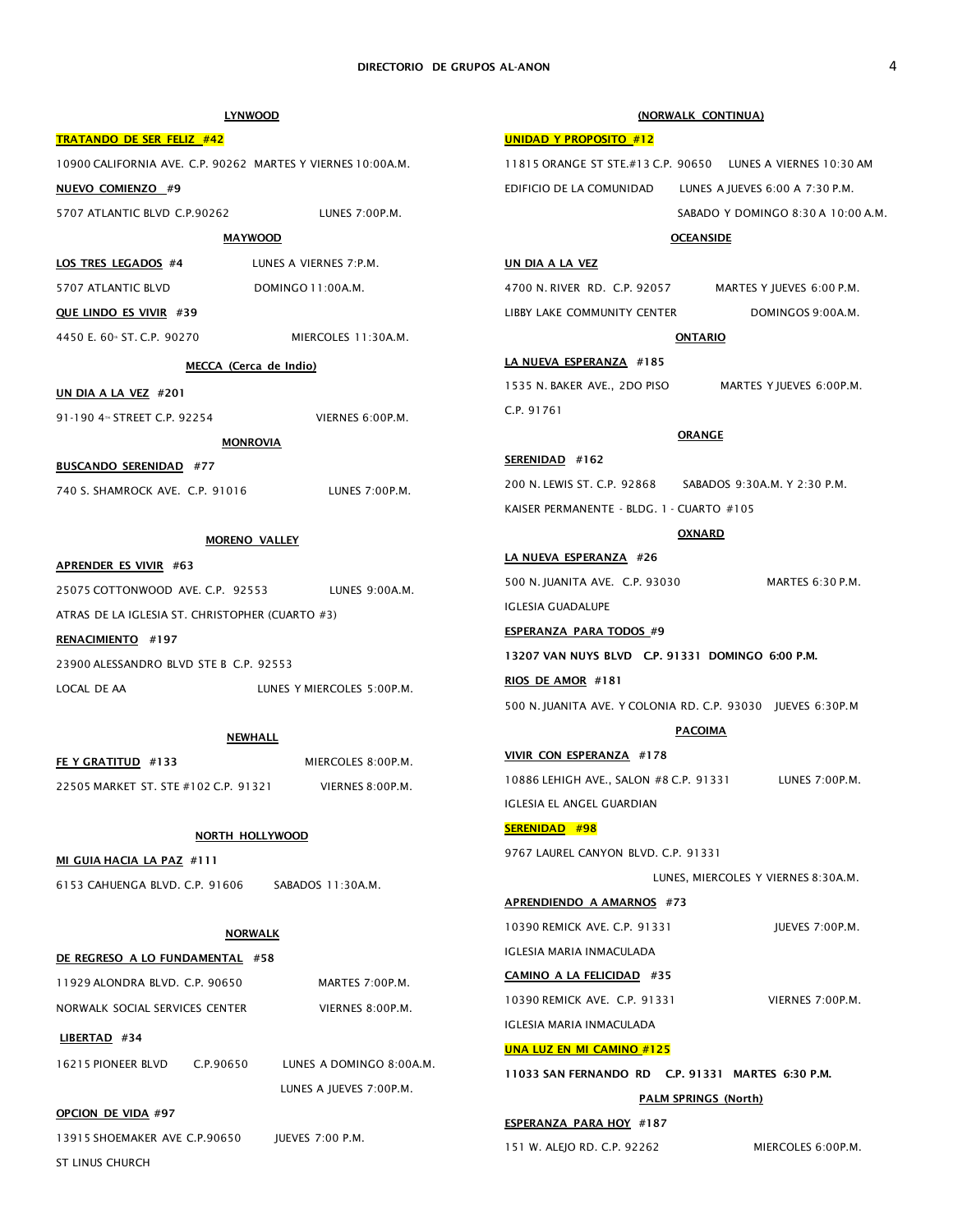| <b>LYNWOOD</b>                                                              |                            | (NORWALK CONTINUA)                                          |                                     |  |
|-----------------------------------------------------------------------------|----------------------------|-------------------------------------------------------------|-------------------------------------|--|
| <b>TRATANDO DE SER FELIZ #42</b>                                            |                            | <b>UNIDAD Y PROPOSITO #12</b>                               |                                     |  |
| 10900 CALIFORNIA AVE. C.P. 90262 MARTES Y VIERNES 10:00A.M.                 |                            | 11815 ORANGE ST STE.#13 C.P. 90650 LUNES A VIERNES 10:30 AM |                                     |  |
| <b>NUEVO COMIENZO #9</b>                                                    |                            | EDIFICIO DE LA COMUNIDAD                                    | LUNES A JUEVES 6:00 A 7:30 P.M.     |  |
| 5707 ATLANTIC BLVD C.P.90262                                                | LUNES 7:00P.M.             |                                                             | SABADO Y DOMINGO 8:30 A 10:00 A.M.  |  |
| <b>MAYWOOD</b>                                                              |                            | <b>OCEANSIDE</b>                                            |                                     |  |
| LOS TRES LEGADOS #4                                                         | LUNES A VIERNES 7:P.M.     | <u>UN DIA A LA VEZ</u>                                      |                                     |  |
| 5707 ATLANTIC BLVD                                                          | DOMINGO 11:00A.M.          | 4700 N.RIVER RD. C.P. 92057                                 | MARTES Y JUEVES 6:00 P.M.           |  |
| QUE LINDO ES VIVIR #39                                                      |                            | LIBBY LAKE COMMUNITY CENTER                                 | DOMINGOS 9:00A.M.                   |  |
| 4450 E. 60 ST. C.P. 90270                                                   | MIERCOLES 11:30A.M.        | <b>ONTARIO</b>                                              |                                     |  |
| MECCA (Cerca de Indio)                                                      |                            | LA NUEVA ESPERANZA #185                                     |                                     |  |
| <u>UN DIA A LA VEZ</u> #201                                                 |                            | 1535 N. BAKER AVE., 2DO PISO                                | MARTES Y JUEVES 6:00P.M.            |  |
| 91-190 4™ STREET C.P. 92254                                                 | VIERNES 6:00P.M.           | C.P. 91761                                                  |                                     |  |
| <b>MONROVIA</b>                                                             |                            | <b>ORANGE</b>                                               |                                     |  |
| <b>BUSCANDO SERENIDAD #77</b>                                               |                            | SERENIDAD #162                                              |                                     |  |
| 740 S. SHAMROCK AVE. C.P. 91016                                             | LUNES 7:00P.M.             | 200 N. LEWIS ST. C.P. 92868                                 | SABADOS 9:30A.M. Y 2:30 P.M.        |  |
|                                                                             |                            | KAISER PERMANENTE - BLDG. 1 - CUARTO #105                   |                                     |  |
| <b>MORENO VALLEY</b>                                                        |                            | <b>OXNARD</b>                                               |                                     |  |
| APRENDER ES VIVIR #63                                                       |                            | LA NUEVA ESPERANZA #26                                      |                                     |  |
|                                                                             |                            | 500 N. JUANITA AVE. C.P. 93030                              | MARTES 6:30 P.M.                    |  |
| 25075 COTTONWOOD AVE. C.P. 92553 LUNES 9:00A.M.                             |                            | <b>IGLESIA GUADALUPE</b>                                    |                                     |  |
| ATRAS DE LA IGLESIA ST. CHRISTOPHER (CUARTO #3)                             |                            | <b>ESPERANZA PARA TODOS #9</b>                              |                                     |  |
| RENACIMIENTO #197<br>23900 ALESSANDRO BLVD STE B C.P. 92553                 |                            | 13207 VAN NUYS BLVD C.P. 91331 DOMINGO 6:00 P.M.            |                                     |  |
| LOCAL DE AA                                                                 | LUNES Y MIERCOLES 5:00P.M. | RIOS DE AMOR #181                                           |                                     |  |
|                                                                             |                            | 500 N. JUANITA AVE. Y COLONIA RD. C.P. 93030 JUEVES 6:30P.M |                                     |  |
| <b>NEWHALL</b>                                                              |                            | <b>PACOIMA</b>                                              |                                     |  |
| FE Y GRATITUD #133                                                          | MIERCOLES 8:00P.M.         | VIVIR CON ESPERANZA #178                                    |                                     |  |
| 22505 MARKET ST. STE #102 C.P. 91321                                        | VIERNES 8:00P.M.           | 10886 LEHIGH AVE., SALON #8 C.P. 91331                      | LUNES 7:00P.M.                      |  |
|                                                                             |                            | IGLESIA EL ANGEL GUARDIAN                                   |                                     |  |
| NORTH HOLLYWOOD                                                             |                            | <b>SERENIDAD #98</b>                                        |                                     |  |
| <u>MI GUIA HACIA LA PAZ</u> #111                                            |                            | 9767 LAUREL CANYON BLVD, C.P. 91331                         |                                     |  |
| 6153 CAHUENGA BLVD. C.P. 91606                                              | SABADOS 11:30A.M.          |                                                             | LUNES, MIERCOLES Y VIERNES 8:30A.M. |  |
|                                                                             |                            | APRENDIENDO A AMARNOS #73                                   |                                     |  |
| <b>NORWALK</b>                                                              |                            | 10390 REMICK AVE. C.P. 91331                                | JUEVES 7:00P.M.                     |  |
| DE REGRESO A LO FUNDAMENTAL #58                                             |                            | IGLESIA MARIA INMACULADA                                    |                                     |  |
| 11929 ALONDRA BLVD. C.P. 90650                                              | MARTES 7:00P.M.            | <b>CAMINO A LA FELICIDAD</b> #35                            |                                     |  |
| NORWALK SOCIAL SERVICES CENTER                                              | VIERNES 8:00P.M.           | 10390 REMICK AVE. C.P. 91331                                | VIERNES 7:00P.M.                    |  |
|                                                                             |                            | IGLESIA MARIA INMACULADA                                    |                                     |  |
| LIBERTAD #34<br>C.P.90650<br>16215 PIONEER BLVD<br>LUNES A DOMINGO 8:00A.M. |                            | <b>UNA LUZ EN MI CAMINO #125</b>                            |                                     |  |
|                                                                             |                            | 11033 SAN FERNANDO RD C.P. 91331 MARTES 6:30 P.M.           |                                     |  |
|                                                                             | LUNES A JUEVES 7:00P.M.    | <b>PALM SPRINGS (North)</b>                                 |                                     |  |
| OPCION DE VIDA #97                                                          |                            | <b>ESPERANZA PARA HOY #187</b>                              |                                     |  |
| 13915 SHOEMAKER AVE C.P.90650                                               | JUEVES 7:00 P.M.           | 151 W. ALEJO RD. C.P. 92262                                 | MIERCOLES 6:00P.M.                  |  |
| ST LINUS CHURCH                                                             |                            |                                                             |                                     |  |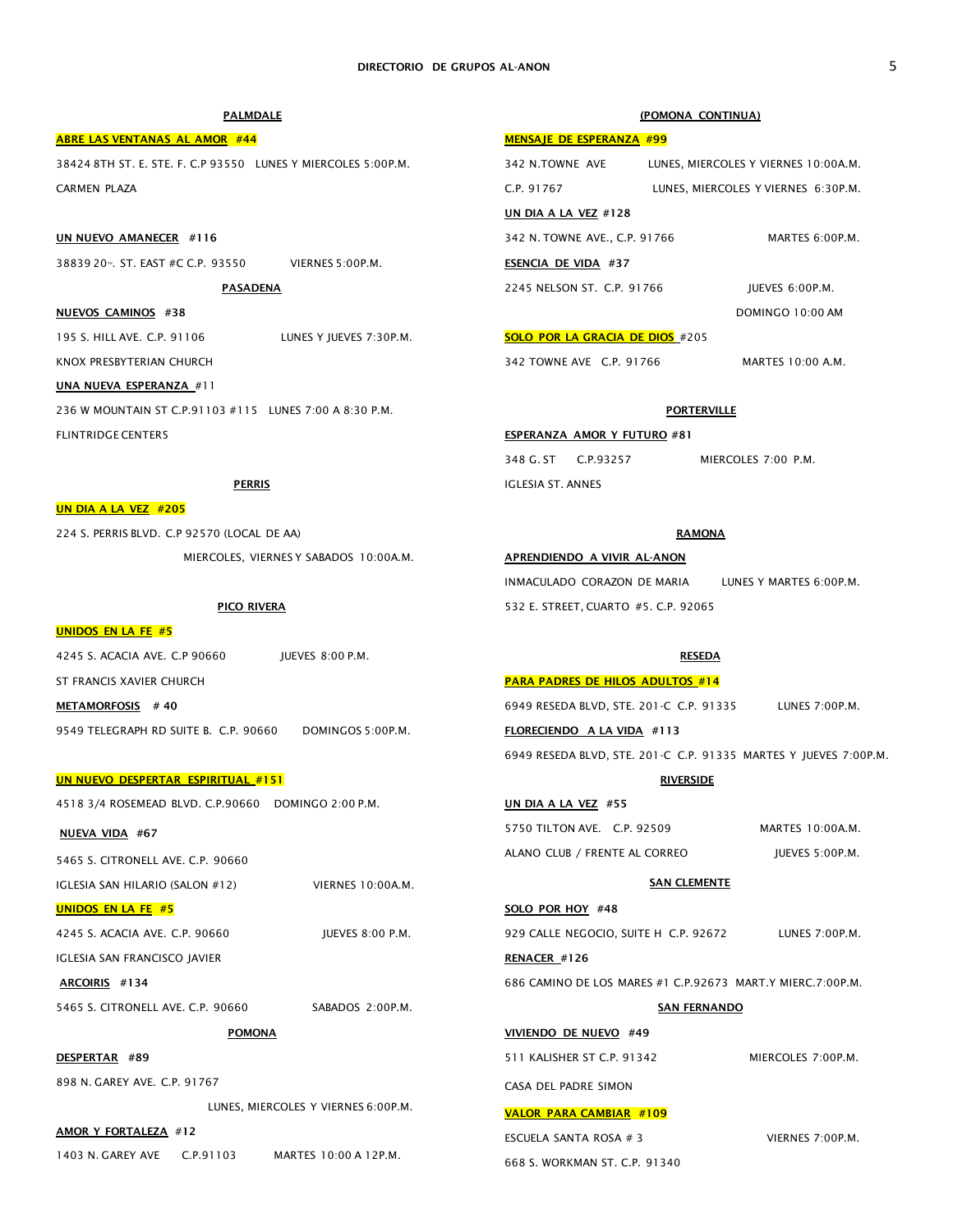PALMDALE ABRE LAS VENTANAS AL AMOR #44 38424 8TH ST. E. STE. F. C.P 93550 LUNES Y MIERCOLES 5:00P.M. CARMEN PLAZA UN NUEVO AMANECER #116 38839 20™. ST. EAST #C C.P. 93550 VIERNES 5:00P.M. PASADENA NUEVOS CAMINOS #38 195 S. HILL AVE. C.P. 91106 LUNES Y JUEVES 7:30P.M. KNOX PRESBYTERIAN CHURCH UNA NUEVA ESPERANZA #11 236 W MOUNTAIN ST C.P.91103 #115 LUNES 7:00 A 8:30 P.M. FLINTRIDGE CENTER5 PERRIS UN DIA A LA VEZ #205 224 S. PERRIS BLVD. C.P 92570 (LOCAL DE AA) MIERCOLES, VIERNES Y SABADOS 10:00A.M. PICO RIVERA UNIDOS EN LA FE #5 4245 S. ACACIA AVE. C.P 90660 JUEVES 8:00 P.M. ST FRANCIS XAVIER CHURCH METAMORFOSIS #40 9549 TELEGRAPH RD SUITE B. C.P. 90660 DOMINGOS 5:00P.M. UN NUEVO DESPERTAR ESPIRITUAL #151 4518 3/4 ROSEMEAD BLVD. C.P.90660 DOMINGO 2:00 P.M. NUEVA VIDA #67 5465 S. CITRONELL AVE. C.P. 90660 IGLESIA SAN HILARIO (SALON #12) VIERNES 10:00A.M. UNIDOS EN LA FE #5 (POMONA CONTINUA) MENSAJE DE ESPERANZA #00 UN DIA A LA VEZ #128 ESENCIA DE VIDA #37 SOLO POR LA GRACIA DE DIOS #205 342 TOWNE AVE C.P. 91766 MARTES 10:00 A.M. **PORTERVILLE** ESPERANZA AMOR Y FUTURO #81 348 G. ST C.P.93257 MIERCOLES 7:00 P.M. IGLESIA ST. ANNES **RAMONA** APRENDIENDO A VIVIR AL-ANON 532 E. STREET, CUARTO #5. C.P. 92065 RESEDA PARA PADRES DE HILOS ADULTOS #14 FLORECIENDO A LA VIDA #113 6949 RESEDA BLVD, STE. 201-C C.P. 91335 MARTES Y JUEVES 7:00P.M. **RIVERSIDE** UN DIA A LA VEZ #55 **SAN CLEMENTE** 

4245 S. ACACIA AVE. C.P. 90660 JUEVES 8:00 P.M.

IGLESIA SAN FRANCISCO JAVIER

ARCOIRIS #134

5465 S. CITRONELL AVE. C.P. 90660 SABADOS 2:00P.M.

POMONA

DESPERTAR #89

898 N. GAREY AVE. C.P. 91767

LUNES, MIERCOLES Y VIERNES 6:00P.M.

### AMOR Y FORTALEZA #12

1403 N. GAREY AVE C.P.91103 MARTES 10:00 A 12P.M.

| <u>MERSAJE DE ESI ENRITZA #33</u> |  |                                      |
|-----------------------------------|--|--------------------------------------|
| 342 N.TOWNE AVE                   |  | LUNES, MIERCOLES Y VIERNES 10:00A.M. |
| C.P. 91767                        |  | LUNES, MIERCOLES Y VIERNES 6:30P.M.  |
| UN DIA A LA VEZ #128              |  |                                      |
| 342 N. TOWNE AVE., C.P. 91766     |  | MARTES 6:00P.M.                      |
| ESENCIA DE VIDA #37               |  |                                      |
| 2245 NELSON ST. C.P. 91766        |  | IUEVES 6:00P.M.                      |
|                                   |  | DOMINGO 10:00 AM                     |

INMACULADO CORAZON DE MARIA LUNES Y MARTES 6:00P.M.

| 6949 RESEDA BLVD, STE. 201-C C.P. 91335 | LUNES 7:00P.M. |
|-----------------------------------------|----------------|
| FLORECIENDO A LA VIDA #113              |                |

5750 TILTON AVE. C.P. 92509 MARTES 10:00A.M. ALANO CLUB / FRENTE AL CORREO JUEVES 5:00P.M.

SOLO POR HOY #48

929 CALLE NEGOCIO, SUITE H C.P. 92672 LUNES 7:00P.M.

RENACER #126

686 CAMINO DE LOS MARES #1 C.P.92673 MART.Y MIERC.7:00P.M.

### SAN FERNANDO

VIVIENDO DE NUEVO #49

511 KALISHER ST C.P. 91342 MIERCOLES 7:00P.M.

CASA DEL PADRE SIMON

# VALOR PARA CAMBIAR #109

ESCUELA SANTA ROSA # 3 VIERNES 7:00P.M. 668 S. WORKMAN ST. C.P. 91340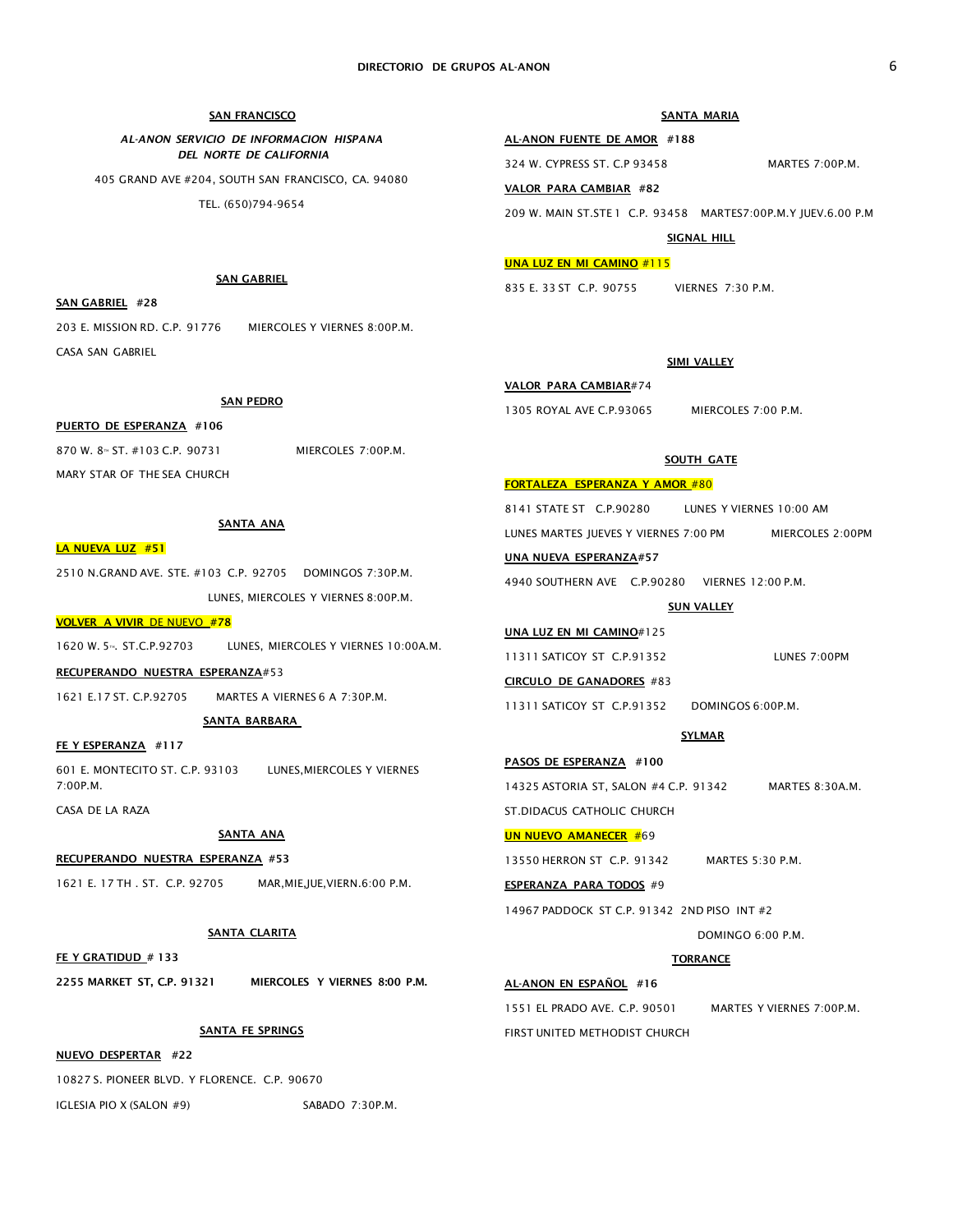### SAN FRANCISCO

### *AL-ANON SERVICIO DE INFORMACION HISPANA DEL NORTE DE CALIFORNIA*

405 GRAND AVE #204, SOUTH SAN FRANCISCO, CA. 94080 TEL. (650)794-9654

### SANTA MARIA

### AL-ANON FUENTE DE AMOR #188

324 W. CYPRESS ST. C.P 93458 MARTES 7:00P.M.

VALOR PARA CAMBIAR #82

209 W. MAIN ST.STE 1 C.P. 93458 MARTES7:00P.M.Y JUEV.6.00 P.M

SIGNAL HILL

### UNA LUZ EN MI CAMINO #115

835 E. 33 ST C.P. 90755 VIERNES 7:30 P.M.

### SIMI VALLEY

# VALOR PARA CAMBIAR#74

1305 ROYAL AVE C.P.93065 MIERCOLES 7:00 P.M.

# **SOUTH GATE**

# FORTALEZA ESPERANZA Y AMOR #80

8141 STATE ST C.P.90280 LUNES Y VIERNES 10:00 AM LUNES MARTES JUEVES Y VIERNES 7:00 PM MIERCOLES 2:00PM UNA NUEVA ESPERANZA#57

4940 SOUTHERN AVE C.P.90280 VIERNES 12:00 P.M.

### **SUN VALLEY**

### UNA LUZ EN MI CAMINO#125

| 11311 SATICOY ST C.P.91352 | LUNES 7:00PM |
|----------------------------|--------------|
| CIRCULO DE GANADORES #83   |              |

# 11311 SATICOY ST C.P.91352 DOMINGOS 6:00P.M.

### SYLMAR

AL-ANON EN ESPAÑOL #16

DOMINGO 6:00 P.M.

### **TORRANCE**

# 1551 EL PRADO AVE. C.P. 90501 MARTES Y VIERNES 7:00P.M. FIRST UNITED METHODIST CHURCH

SAN GABRIEL

## SAN GABRIEL #28

203 E. MISSION RD. C.P. 91776 MIERCOLES Y VIERNES 8:00P.M. CASA SAN GABRIEL

## SAN PEDRO

### PUERTO DE ESPERANZA #106

870 W. 8™ ST. #103 C.P. 90731 MIERCOLES 7:00P.M. MARY STAR OF THE SEA CHURCH

### SANTA ANA

### LA NUEVA LUZ #51

2510 N.GRAND AVE. STE. #103 C.P. 92705 DOMINGOS 7:30P.M. LUNES, MIERCOLES Y VIERNES 8:00P.M.

### VOLVER A VIVIR DE NUEVO #78

1620 W. 5<sup>m</sup>. ST.C.P.92703 LUNES, MIERCOLES Y VIERNES 10:00A.M.

#### RECUPERANDO NUESTRA ESPERANZA#53

1621 E.17 ST. C.P.92705 MARTES A VIERNES 6 A 7:30P.M.

SANTA BARBARA

### FE Y ESPERANZA #117

601 E. MONTECITO ST. C.P. 93103 LUNES,MIERCOLES Y VIERNES 7:00P.M.

CASA DE LA RAZA

# SANTA ANA

### RECUPERANDO NUESTRA ESPERANZA #53

1621 E. 17 TH . ST. C.P. 92705 MAR,MIE,JUE,VIERN.6:00 P.M.

### SANTA CLARITA

FE Y GRATIDUD # 133

2255 MARKET ST, C.P. 91321 MIERCOLES Y VIERNES 8:00 P.M.

# SANTA FE SPRINGS

NUEVO DESPERTAR #22

10827 S. PIONEER BLVD. Y FLORENCE. C.P. 90670

IGLESIA PIO X (SALON #9) SABADO 7:30P.M.



13550 HERRON ST C.P. 91342 MARTES 5:30 P.M.

ESPERANZA PARA TODOS #9

14967 PADDOCK ST C.P. 91342 2ND PISO INT #2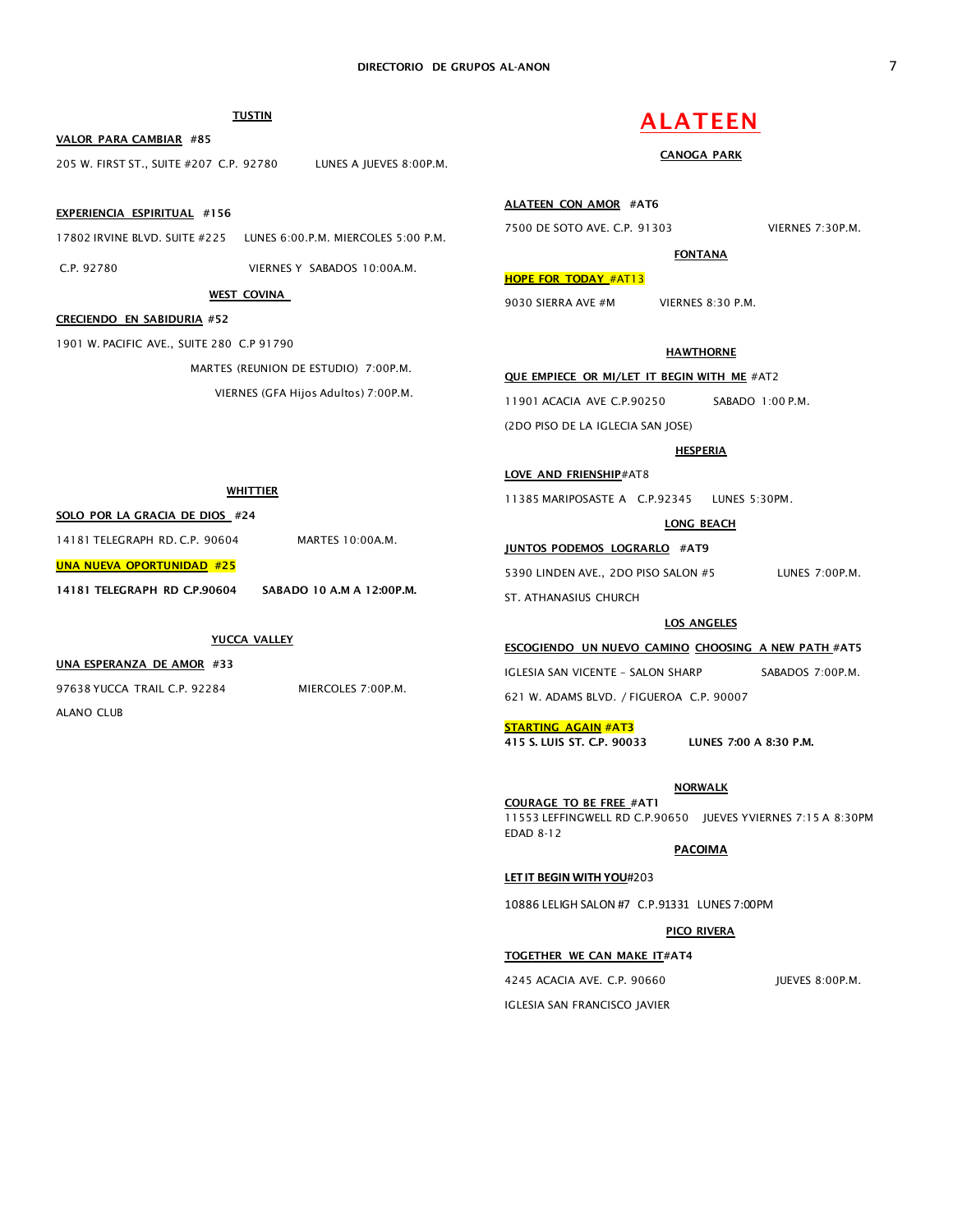# TUSTIN

VALOR PARA CAMBIAR #85

205 W. FIRST ST., SUITE #207 C.P. 92780 LUNES A JUEVES 8:00P.M.

### EXPERIENCIA ESPIRITUAL #156

17802 IRVINE BLVD. SUITE #225 LUNES 6:00.P.M. MIERCOLES 5:00 P.M.

WEST COVINA

WHITTIER

C.P. 92780 VIERNES Y SABADOS 10:00A.M.

# CRECIENDO EN SABIDURIA #52

1901 W. PACIFIC AVE., SUITE 280 C.P 91790

MARTES (REUNION DE ESTUDIO) 7:00P.M.

VIERNES (GFA Hijos Adultos) 7:00P.M.

# ALATEEN

## CANOGA PARK

ALATEEN CON AMOR #AT6

7500 DE SOTO AVE. C.P. 91303 VIERNES 7:30P.M.

FONTANA

# HOPE FOR TODAY #AT13

9030 SIERRA AVE #M VIERNES 8:30 P.M.

# **HAWTHORNE**

QUE EMPIECE OR MI/LET IT BEGIN WITH ME #AT2

11901 ACACIA AVE C.P.90250 SABADO 1:00 P.M.

(2DO PISO DE LA IGLECIA SAN JOSE)

### **HESPERIA**

LOVE AND FRIENSHIP#AT8

11385 MARIPOSASTE A C.P.92345 LUNES 5:30PM.

### LONG BEACH

JUNTOS PODEMOS LOGRARLO #AT9

5390 LINDEN AVE., 2DO PISO SALON #5 LUNES 7:00P.M. ST. ATHANASIUS CHURCH

### LOS ANGELES

ESCOGIENDO UN NUEVO CAMINO CHOOSING A NEW PATH #AT5

IGLESIA SAN VICENTE - SALON SHARP SABADOS 7:00P.M.

621 W. ADAMS BLVD. / FIGUEROA C.P. 90007

### STARTING AGAIN #AT3

415 S. LUIS ST. C.P. 90033 LUNES 7:00 A 8:30 P.M.

# **NORWALK**

COURAGE TO BE FREE #AT1 11553 LEFFINGWELL RD C.P.90650 JUEVES YVIERNES 7:15 A 8:30PM EDAD 8-12

# **PACOIMA**

### **LET IT BEGIN WITH YOU**#203

10886 LELIGH SALON #7 C.P.91331 LUNES 7:00PM

### PICO RIVERA

### TOGETHER WE CAN MAKE IT#AT4

4245 ACACIA AVE. C.P. 90660 JUEVES 8:00P.M. IGLESIA SAN FRANCISCO JAVIER

14181 TELEGRAPH RD C.P.90604 SABADO 10 A.M A 12:00P.M.

YUCCA VALLEY

14181 TELEGRAPH RD. C.P. 90604 MARTES 10:00A.M.

### UNA ESPERANZA DE AMOR #33

SOLO POR LA GRACIA DE DIOS #24

UNA NUEVA OPORTUNIDAD #25

97638 YUCCA TRAIL C.P. 92284 MIERCOLES 7:00P.M. ALANO CLUB